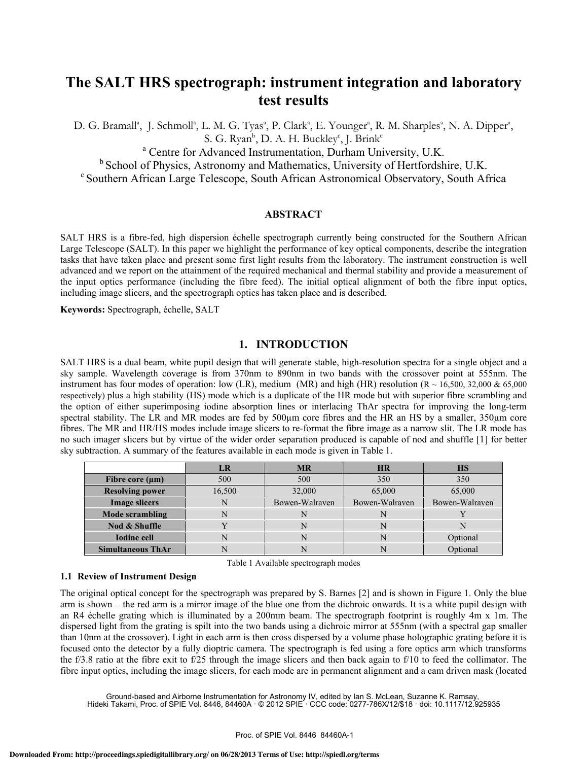# **The SALT HRS spectrograph: instrument integration and laboratory test results**

D. G. Bramall<sup>a</sup>, J. Schmoll<sup>a</sup>, L. M. G. Tyas<sup>a</sup>, P. Clark<sup>a</sup>, E. Younger<sup>a</sup>, R. M. Sharples<sup>a</sup>, N. A. Dipper<sup>a</sup>, S. G. Ryan<sup>b</sup>, D. A. H. Buckley<sup>c</sup>, J. Brink<sup>c</sup>

a Centre for Advanced Instrumentation, Durham University, U.K.

<sup>b</sup> School of Physics, Astronomy and Mathematics, University of Hertfordshire, U.K. <sup>c</sup> Southern African Large Telescope, South African Astronomical Observatory, South Africa

#### **ABSTRACT**

SALT HRS is a fibre-fed, high dispersion échelle spectrograph currently being constructed for the Southern African Large Telescope (SALT). In this paper we highlight the performance of key optical components, describe the integration tasks that have taken place and present some first light results from the laboratory. The instrument construction is well advanced and we report on the attainment of the required mechanical and thermal stability and provide a measurement of the input optics performance (including the fibre feed). The initial optical alignment of both the fibre input optics, including image slicers, and the spectrograph optics has taken place and is described.

**Keywords:** Spectrograph, échelle, SALT

## **1. INTRODUCTION**

SALT HRS is a dual beam, white pupil design that will generate stable, high-resolution spectra for a single object and a sky sample. Wavelength coverage is from 370nm to 890nm in two bands with the crossover point at 555nm. The instrument has four modes of operation: low (LR), medium (MR) and high (HR) resolution ( $R \sim 16,500, 32,000 \& 65,000$ respectively) plus a high stability (HS) mode which is a duplicate of the HR mode but with superior fibre scrambling and the option of either superimposing iodine absorption lines or interlacing ThAr spectra for improving the long-term spectral stability. The LR and MR modes are fed by 500um core fibres and the HR an HS by a smaller, 350um core fibres. The MR and HR/HS modes include image slicers to re-format the fibre image as a narrow slit. The LR mode has no such imager slicers but by virtue of the wider order separation produced is capable of nod and shuffle [1] for better sky subtraction. A summary of the features available in each mode is given in Table 1.

|                          | LR     | <b>MR</b>      | <b>HR</b>      | <b>HS</b>      |
|--------------------------|--------|----------------|----------------|----------------|
| Fibre core $(\mu m)$     | 500    | 500            | 350            | 350            |
| <b>Resolving power</b>   | 16,500 | 32,000         | 65,000         | 65,000         |
| <b>Image slicers</b>     |        | Bowen-Walraven | Bowen-Walraven | Bowen-Walraven |
| <b>Mode scrambling</b>   |        |                |                |                |
| Nod & Shuffle            |        |                | N              | N              |
| <b>Iodine cell</b>       |        |                |                | Optional       |
| <b>Simultaneous ThAr</b> |        |                |                | Optional       |

Table 1 Available spectrograph modes

## **1.1 Review of Instrument Design**

The original optical concept for the spectrograph was prepared by S. Barnes [2] and is shown in Figure 1. Only the blue arm is shown – the red arm is a mirror image of the blue one from the dichroic onwards. It is a white pupil design with an R4 échelle grating which is illuminated by a 200mm beam. The spectrograph footprint is roughly 4m x 1m. The dispersed light from the grating is spilt into the two bands using a dichroic mirror at 555nm (with a spectral gap smaller than 10nm at the crossover). Light in each arm is then cross dispersed by a volume phase holographic grating before it is focused onto the detector by a fully dioptric camera. The spectrograph is fed using a fore optics arm which transforms the f/3.8 ratio at the fibre exit to f/25 through the image slicers and then back again to f/10 to feed the collimator. The fibre input optics, including the image slicers, for each mode are in permanent alignment and a cam driven mask (located

Bround-based and Airborne Instrumentation for Astronomy IV, edited by Ian S. McLean, Suzanne K. Ramsay,<br>Hideki Takami, Proc. of SPIE Vol. 8446, 84460A · © 2012 SPIE · CCC code: 0277-786X/12/\$18 · doi: 10.1117/12.925935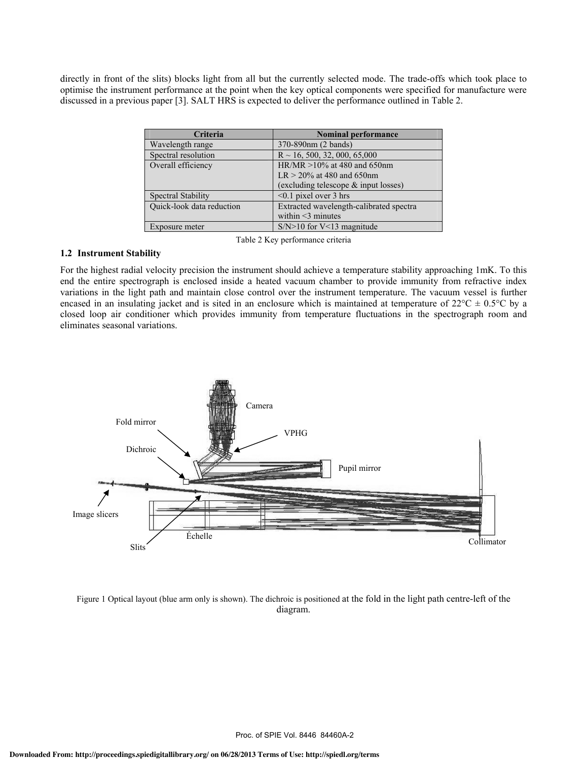directly in front of the slits) blocks light from all but the currently selected mode. The trade-offs which took place to optimise the instrument performance at the point when the key optical components were specified for manufacture were discussed in a previous paper [3]. SALT HRS is expected to deliver the performance outlined in Table 2.

| <b>Criteria</b>           | <b>Nominal performance</b>              |
|---------------------------|-----------------------------------------|
| Wavelength range          | 370-890nm (2 bands)                     |
| Spectral resolution       | $R \sim 16, 500, 32, 000, 65,000$       |
| Overall efficiency        | HR/MR $>10\%$ at 480 and 650nm          |
|                           | $LR > 20\%$ at 480 and 650nm            |
|                           | (excluding telescope $\&$ input losses) |
| Spectral Stability        | $<$ 0.1 pixel over 3 hrs                |
| Quick-look data reduction | Extracted wavelength-calibrated spectra |
|                           | within $\leq$ 3 minutes                 |
| Exposure meter            | $S/N>10$ for V<13 magnitude             |

Table 2 Key performance criteria

#### **1.2 Instrument Stability**

For the highest radial velocity precision the instrument should achieve a temperature stability approaching 1mK. To this end the entire spectrograph is enclosed inside a heated vacuum chamber to provide immunity from refractive index variations in the light path and maintain close control over the instrument temperature. The vacuum vessel is further encased in an insulating jacket and is sited in an enclosure which is maintained at temperature of  $22^{\circ}C \pm 0.5^{\circ}C$  by a closed loop air conditioner which provides immunity from temperature fluctuations in the spectrograph room and eliminates seasonal variations.



Figure 1 Optical layout (blue arm only is shown). The dichroic is positioned at the fold in the light path centre-left of the diagram.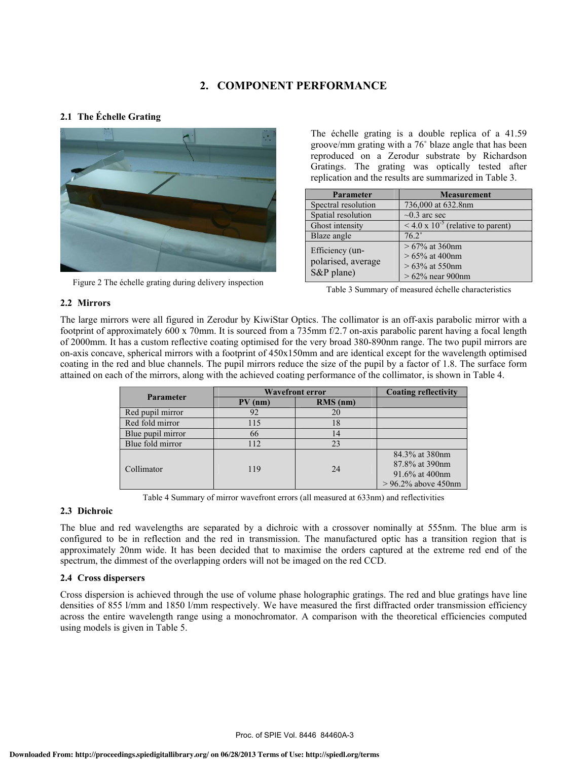# **2. COMPONENT PERFORMANCE**

## **2.1 The Échelle Grating**



Figure 2 The échelle grating during delivery inspection

The échelle grating is a double replica of a 41.59 groove/mm grating with a 76 blaze angle that has been reproduced on a Zerodur substrate by Richardson Gratings. The grating was optically tested after replication and the results are summarized in Table 3.

| Parameter                                           | <b>Measurement</b>                                                              |
|-----------------------------------------------------|---------------------------------------------------------------------------------|
| Spectral resolution                                 | 736,000 at 632.8nm                                                              |
| Spatial resolution                                  | $\sim 0.3$ arc sec                                                              |
| Ghost intensity                                     | $\sqrt{4.0 \times 10^{-5}}$ (relative to parent)                                |
| Blaze angle                                         | $76.2^\circ$                                                                    |
| Efficiency (un-<br>polarised, average<br>S&P plane) | $>67\%$ at 360nm<br>$> 65\%$ at 400nm<br>$>63\%$ at 550nm<br>$>62\%$ near 900nm |

Table 3 Summary of measured échelle characteristics

#### **2.2 Mirrors**

The large mirrors were all figured in Zerodur by KiwiStar Optics. The collimator is an off-axis parabolic mirror with a footprint of approximately 600 x 70mm. It is sourced from a 735mm f/2.7 on-axis parabolic parent having a focal length of 2000mm. It has a custom reflective coating optimised for the very broad 380-890nm range. The two pupil mirrors are on-axis concave, spherical mirrors with a footprint of 450x150mm and are identical except for the wavelength optimised coating in the red and blue channels. The pupil mirrors reduce the size of the pupil by a factor of 1.8. The surface form attained on each of the mirrors, along with the achieved coating performance of the collimator, is shown in Table 4.

| <b>Parameter</b>  | <b>Wavefront error</b> | <b>Coating reflectivity</b> |                                                                               |
|-------------------|------------------------|-----------------------------|-------------------------------------------------------------------------------|
|                   | PV<br>(nm)             | $RMS$ (nm)                  |                                                                               |
| Red pupil mirror  | 92                     | 20                          |                                                                               |
| Red fold mirror   | 115                    | 18                          |                                                                               |
| Blue pupil mirror | 66                     | 14                          |                                                                               |
| Blue fold mirror  | 112                    | 23                          |                                                                               |
| Collimator        | 119                    | 24                          | 84.3% at 380nm<br>87.8% at 390nm<br>91.6% at 400 nm<br>$> 96.2\%$ above 450nm |

Table 4 Summary of mirror wavefront errors (all measured at 633nm) and reflectivities

#### **2.3 Dichroic**

The blue and red wavelengths are separated by a dichroic with a crossover nominally at 555nm. The blue arm is configured to be in reflection and the red in transmission. The manufactured optic has a transition region that is approximately 20nm wide. It has been decided that to maximise the orders captured at the extreme red end of the spectrum, the dimmest of the overlapping orders will not be imaged on the red CCD.

## **2.4 Cross dispersers**

Cross dispersion is achieved through the use of volume phase holographic gratings. The red and blue gratings have line densities of 855 l/mm and 1850 l/mm respectively. We have measured the first diffracted order transmission efficiency across the entire wavelength range using a monochromator. A comparison with the theoretical efficiencies computed using models is given in Table 5.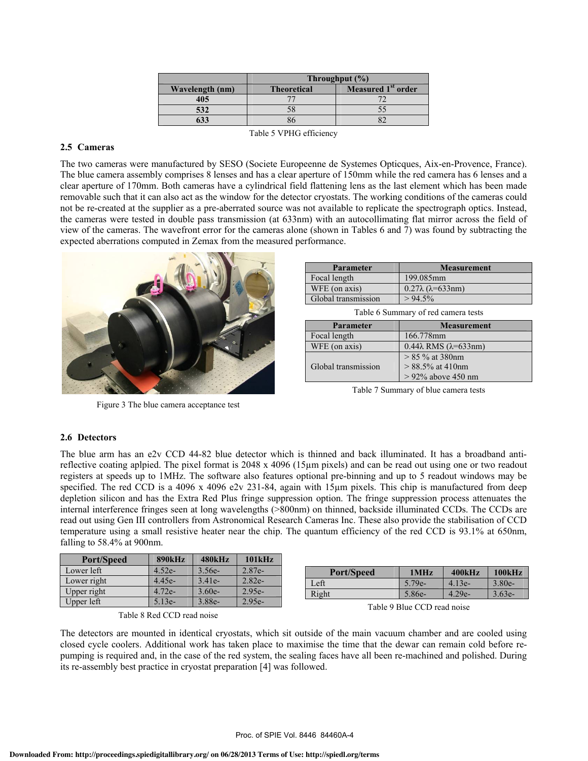|                 | Throughput $(\% )$ |                                |  |  |  |  |
|-----------------|--------------------|--------------------------------|--|--|--|--|
| Wavelength (nm) | <b>Theoretical</b> | Measured 1 <sup>st</sup> order |  |  |  |  |
| 405             |                    |                                |  |  |  |  |
| 532             |                    |                                |  |  |  |  |
| 633             |                    |                                |  |  |  |  |
|                 |                    |                                |  |  |  |  |

Table 5 VPHG efficiency

#### **2.5 Cameras**

The two cameras were manufactured by SESO (Societe Europeenne de Systemes Opticques, Aix-en-Provence, France). The blue camera assembly comprises 8 lenses and has a clear aperture of 150mm while the red camera has 6 lenses and a clear aperture of 170mm. Both cameras have a cylindrical field flattening lens as the last element which has been made removable such that it can also act as the window for the detector cryostats. The working conditions of the cameras could not be re-created at the supplier as a pre-aberrated source was not available to replicate the spectrograph optics. Instead, the cameras were tested in double pass transmission (at 633nm) with an autocollimating flat mirror across the field of view of the cameras. The wavefront error for the cameras alone (shown in Tables 6 and 7) was found by subtracting the expected aberrations computed in Zemax from the measured performance.



Figure 3 The blue camera acceptance test

| <b>Parameter</b>    | <b>Measurement</b>                |
|---------------------|-----------------------------------|
| Focal length        | 199.085mm                         |
| WFE (on axis)       | $0.27\lambda$ ( $\lambda$ =633nm) |
| Global transmission | $> 94.5\%$                        |

Table 6 Summary of red camera tests

| <b>Parameter</b>    | <b>Measurement</b>                                                 |
|---------------------|--------------------------------------------------------------------|
| Focal length        | 166.778mm                                                          |
| WFE (on axis)       | $0.44\lambda$ RMS ( $\lambda$ =633nm)                              |
| Global transmission | $> 85 \%$ at 380nm<br>$> 88.5\%$ at 410nm<br>$> 92\%$ above 450 nm |

Table 7 Summary of blue camera tests

#### **2.6 Detectors**

The blue arm has an e2v CCD 44-82 blue detector which is thinned and back illuminated. It has a broadband antireflective coating aplpied. The pixel format is 2048 x 4096 (15µm pixels) and can be read out using one or two readout registers at speeds up to 1MHz. The software also features optional pre-binning and up to 5 readout windows may be specified. The red CCD is a 4096 x 4096 e2v 231-84, again with 15<sub>k</sub>m pixels. This chip is manufactured from deep depletion silicon and has the Extra Red Plus fringe suppression option. The fringe suppression process attenuates the internal interference fringes seen at long wavelengths (>800nm) on thinned, backside illuminated CCDs. The CCDs are read out using Gen III controllers from Astronomical Research Cameras Inc. These also provide the stabilisation of CCD temperature using a small resistive heater near the chip. The quantum efficiency of the red CCD is 93.1% at 650nm, falling to 58.4% at 900nm.

| <b>Port/Speed</b> | <b>890kHz</b> | 480kHz   | 101kHz   |                   |                             |          |          |
|-------------------|---------------|----------|----------|-------------------|-----------------------------|----------|----------|
| Lower left        | $4.52e-$      | $3.56e-$ | $2.87e-$ | <b>Port/Speed</b> | 1MHz                        | 400kHz   | 100kHz   |
| Lower right       | $4.45e-$      | $3.41e-$ | $2.82e-$ | Left              | $5.79e-$                    | $4.13e-$ | $3.80e-$ |
| Upper right       | $4.72e-$      | $3.60e-$ | $2.95e-$ | Right             | 5.86e-                      | $4.29e-$ | $3.63e-$ |
| Upper left        | 5.13e-        | $3.88e-$ | $2.95e-$ |                   | Table 9 Blue CCD read noise |          |          |

| Table 8 Red CCD read noise |  |  |
|----------------------------|--|--|
|                            |  |  |

The detectors are mounted in identical cryostats, which sit outside of the main vacuum chamber and are cooled using closed cycle coolers. Additional work has taken place to maximise the time that the dewar can remain cold before repumping is required and, in the case of the red system, the sealing faces have all been re-machined and polished. During its re-assembly best practice in cryostat preparation [4] was followed.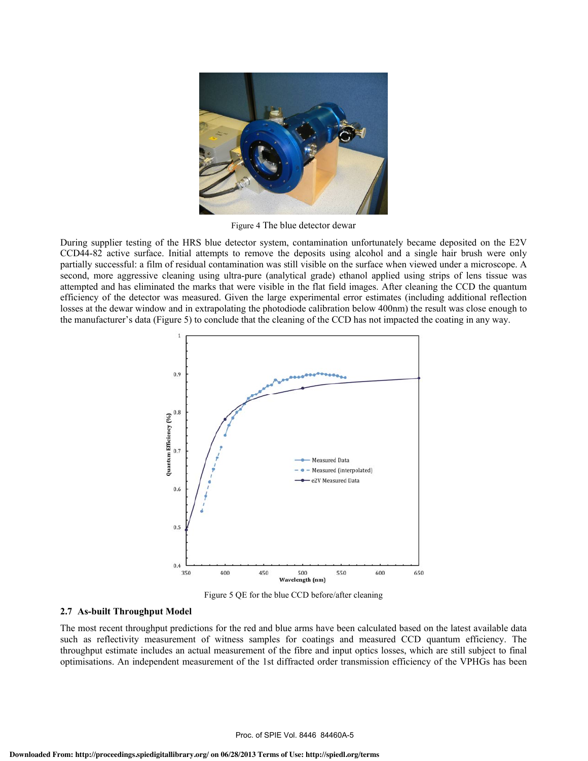

Figure 4 The blue detector dewar

During supplier testing of the HRS blue detector system, contamination unfortunately became deposited on the E2V CCD44-82 active surface. Initial attempts to remove the deposits using alcohol and a single hair brush were only partially successful: a film of residual contamination was still visible on the surface when viewed under a microscope. A second, more aggressive cleaning using ultra-pure (analytical grade) ethanol applied using strips of lens tissue was attempted and has eliminated the marks that were visible in the flat field images. After cleaning the CCD the quantum efficiency of the detector was measured. Given the large experimental error estimates (including additional reflection losses at the dewar window and in extrapolating the photodiode calibration below 400nm) the result was close enough to the manufacturer's data (Figure 5) to conclude that the cleaning of the CCD has not impacted the coating in any way.



Figure 5 QE for the blue CCD before/after cleaning

#### **2.7 As-built Throughput Model**

The most recent throughput predictions for the red and blue arms have been calculated based on the latest available data such as reflectivity measurement of witness samples for coatings and measured CCD quantum efficiency. The throughput estimate includes an actual measurement of the fibre and input optics losses, which are still subject to final optimisations. An independent measurement of the 1st diffracted order transmission efficiency of the VPHGs has been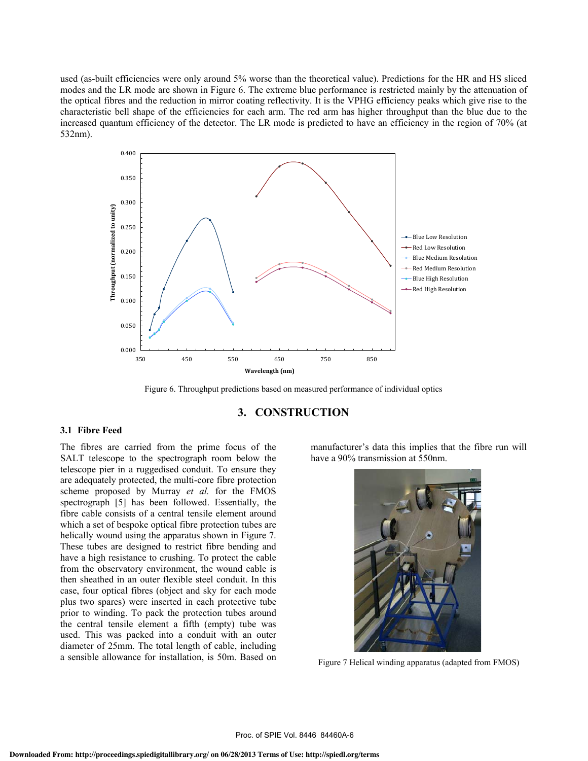used (as-built efficiencies were only around 5% worse than the theoretical value). Predictions for the HR and HS sliced modes and the LR mode are shown in Figure 6. The extreme blue performance is restricted mainly by the attenuation of the optical fibres and the reduction in mirror coating reflectivity. It is the VPHG efficiency peaks which give rise to the characteristic bell shape of the efficiencies for each arm. The red arm has higher throughput than the blue due to the increased quantum efficiency of the detector. The LR mode is predicted to have an efficiency in the region of 70% (at 532nm).



Figure 6. Throughput predictions based on measured performance of individual optics

## **3. CONSTRUCTION**

#### **3.1 Fibre Feed**

The fibres are carried from the prime focus of the SALT telescope to the spectrograph room below the telescope pier in a ruggedised conduit. To ensure they are adequately protected, the multi-core fibre protection scheme proposed by Murray *et al.* for the FMOS spectrograph [5] has been followed. Essentially, the fibre cable consists of a central tensile element around which a set of bespoke optical fibre protection tubes are helically wound using the apparatus shown in Figure 7. These tubes are designed to restrict fibre bending and have a high resistance to crushing. To protect the cable from the observatory environment, the wound cable is then sheathed in an outer flexible steel conduit. In this case, four optical fibres (object and sky for each mode plus two spares) were inserted in each protective tube prior to winding. To pack the protection tubes around the central tensile element a fifth (empty) tube was used. This was packed into a conduit with an outer diameter of 25mm. The total length of cable, including a sensible allowance for installation, is 50m. Based on

manufacturer's data this implies that the fibre run will have a 90% transmission at 550nm.



Figure 7 Helical winding apparatus (adapted from FMOS)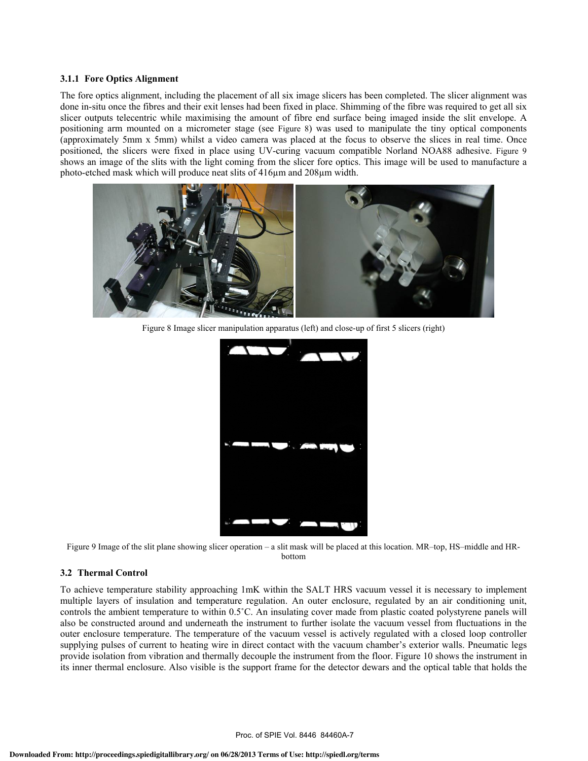#### **3.1.1 Fore Optics Alignment**

The fore optics alignment, including the placement of all six image slicers has been completed. The slicer alignment was done in-situ once the fibres and their exit lenses had been fixed in place. Shimming of the fibre was required to get all six slicer outputs telecentric while maximising the amount of fibre end surface being imaged inside the slit envelope. A positioning arm mounted on a micrometer stage (see Figure 8) was used to manipulate the tiny optical components (approximately 5mm x 5mm) whilst a video camera was placed at the focus to observe the slices in real time. Once positioned, the slicers were fixed in place using UV-curing vacuum compatible Norland NOA88 adhesive. Figure 9 shows an image of the slits with the light coming from the slicer fore optics. This image will be used to manufacture a photo-etched mask which will produce neat slits of 416µm and 208µm width.



Figure 8 Image slicer manipulation apparatus (left) and close-up of first 5 slicers (right)



Figure 9 Image of the slit plane showing slicer operation  $-$  a slit mask will be placed at this location. MR-top, HS-middle and HRbottom

#### **3.2 Thermal Control**

To achieve temperature stability approaching 1mK within the SALT HRS vacuum vessel it is necessary to implement multiple layers of insulation and temperature regulation. An outer enclosure, regulated by an air conditioning unit, controls the ambient temperature to within 0.5C. An insulating cover made from plastic coated polystyrene panels will also be constructed around and underneath the instrument to further isolate the vacuum vessel from fluctuations in the outer enclosure temperature. The temperature of the vacuum vessel is actively regulated with a closed loop controller supplying pulses of current to heating wire in direct contact with the vacuum chamber's exterior walls. Pneumatic legs provide isolation from vibration and thermally decouple the instrument from the floor. Figure 10 shows the instrument in its inner thermal enclosure. Also visible is the support frame for the detector dewars and the optical table that holds the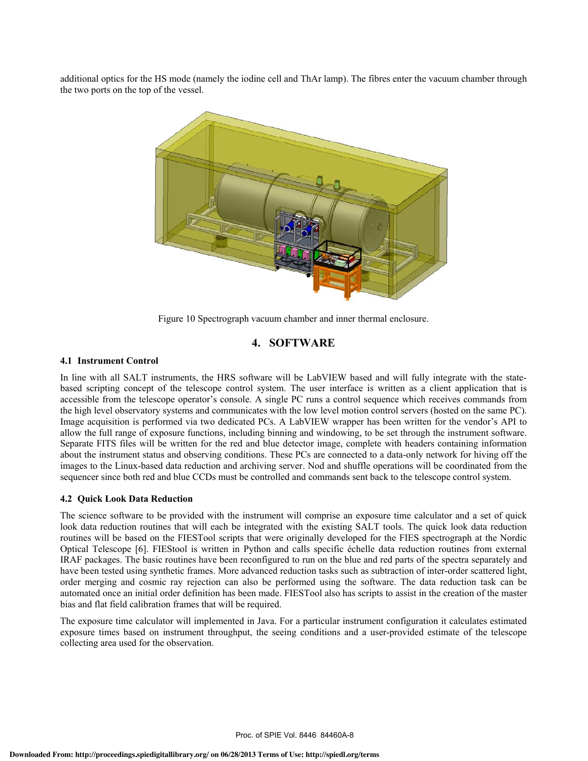additional optics for the HS mode (namely the iodine cell and ThAr lamp). The fibres enter the vacuum chamber through the two ports on the top of the vessel.



Figure 10 Spectrograph vacuum chamber and inner thermal enclosure.

## **4. SOFTWARE**

#### **4.1 Instrument Control**

In line with all SALT instruments, the HRS software will be LabVIEW based and will fully integrate with the statebased scripting concept of the telescope control system. The user interface is written as a client application that is accessible from the telescope operator's console. A single PC runs a control sequence which receives commands from the high level observatory systems and communicates with the low level motion control servers (hosted on the same PC). Image acquisition is performed via two dedicated PCs. A LabVIEW wrapper has been written for the vendor's API to allow the full range of exposure functions, including binning and windowing, to be set through the instrument software. Separate FITS files will be written for the red and blue detector image, complete with headers containing information about the instrument status and observing conditions. These PCs are connected to a data-only network for hiving off the images to the Linux-based data reduction and archiving server. Nod and shuffle operations will be coordinated from the sequencer since both red and blue CCDs must be controlled and commands sent back to the telescope control system.

#### **4.2 Quick Look Data Reduction**

The science software to be provided with the instrument will comprise an exposure time calculator and a set of quick look data reduction routines that will each be integrated with the existing SALT tools. The quick look data reduction routines will be based on the FIESTool scripts that were originally developed for the FIES spectrograph at the Nordic Optical Telescope [6]. FIEStool is written in Python and calls specific échelle data reduction routines from external IRAF packages. The basic routines have been reconfigured to run on the blue and red parts of the spectra separately and have been tested using synthetic frames. More advanced reduction tasks such as subtraction of inter-order scattered light, order merging and cosmic ray rejection can also be performed using the software. The data reduction task can be automated once an initial order definition has been made. FIESTool also has scripts to assist in the creation of the master bias and flat field calibration frames that will be required.

The exposure time calculator will implemented in Java. For a particular instrument configuration it calculates estimated exposure times based on instrument throughput, the seeing conditions and a user-provided estimate of the telescope collecting area used for the observation.